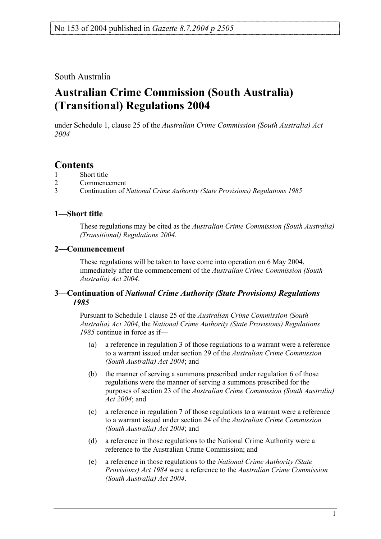## South Australia

# **Australian Crime Commission (South Australia) (Transitional) Regulations 2004**

under Schedule 1, clause 25 of the *Australian Crime Commission (South Australia) Act 2004*

# **Contents**

- 1 Short title
- 2 Commencement
- 3 Continuation of *National Crime Authority (State Provisions) Regulations 1985*

#### **1—Short title**

These regulations may be cited as the *Australian Crime Commission (South Australia) (Transitional) Regulations 2004*.

#### **2—Commencement**

These regulations will be taken to have come into operation on 6 May 2004, immediately after the commencement of the *Australian Crime Commission (South Australia) Act 2004*.

#### **3—Continuation of** *National Crime Authority (State Provisions) Regulations 1985*

Pursuant to Schedule 1 clause 25 of the *Australian Crime Commission (South Australia) Act 2004*, the *National Crime Authority (State Provisions) Regulations 1985* continue in force as if—

- (a) a reference in regulation 3 of those regulations to a warrant were a reference to a warrant issued under section 29 of the *Australian Crime Commission (South Australia) Act 2004*; and
- (b) the manner of serving a summons prescribed under regulation 6 of those regulations were the manner of serving a summons prescribed for the purposes of section 23 of the *Australian Crime Commission (South Australia) Act 2004*; and
- (c) a reference in regulation 7 of those regulations to a warrant were a reference to a warrant issued under section 24 of the *Australian Crime Commission (South Australia) Act 2004*; and
- (d) a reference in those regulations to the National Crime Authority were a reference to the Australian Crime Commission; and
- (e) a reference in those regulations to the *National Crime Authority (State Provisions) Act 1984* were a reference to the *Australian Crime Commission (South Australia) Act 2004*.